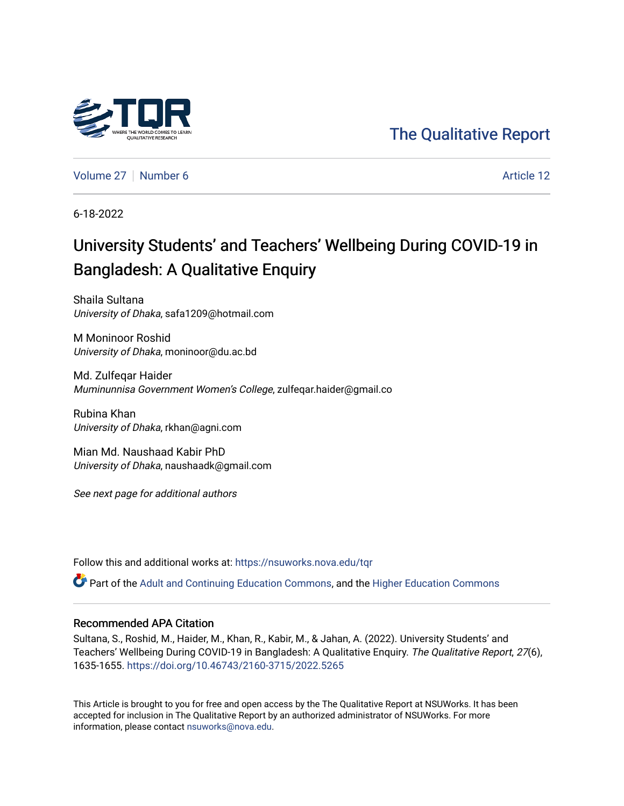

[The Qualitative Report](https://nsuworks.nova.edu/tqr) 

[Volume 27](https://nsuworks.nova.edu/tqr/vol27) | [Number 6](https://nsuworks.nova.edu/tqr/vol27/iss6) Article 12

6-18-2022

# University Students' and Teachers' Wellbeing During COVID-19 in Bangladesh: A Qualitative Enquiry

Shaila Sultana University of Dhaka, safa1209@hotmail.com

M Moninoor Roshid University of Dhaka, moninoor@du.ac.bd

Md. Zulfeqar Haider Muminunnisa Government Women's College, zulfeqar.haider@gmail.co

Rubina Khan University of Dhaka, rkhan@agni.com

Mian Md. Naushaad Kabir PhD University of Dhaka, naushaadk@gmail.com

See next page for additional authors

Follow this and additional works at: [https://nsuworks.nova.edu/tqr](https://nsuworks.nova.edu/tqr?utm_source=nsuworks.nova.edu%2Ftqr%2Fvol27%2Fiss6%2F12&utm_medium=PDF&utm_campaign=PDFCoverPages) 

Part of the [Adult and Continuing Education Commons,](https://network.bepress.com/hgg/discipline/1375?utm_source=nsuworks.nova.edu%2Ftqr%2Fvol27%2Fiss6%2F12&utm_medium=PDF&utm_campaign=PDFCoverPages) and the [Higher Education Commons](https://network.bepress.com/hgg/discipline/1245?utm_source=nsuworks.nova.edu%2Ftqr%2Fvol27%2Fiss6%2F12&utm_medium=PDF&utm_campaign=PDFCoverPages)

# Recommended APA Citation

Sultana, S., Roshid, M., Haider, M., Khan, R., Kabir, M., & Jahan, A. (2022). University Students' and Teachers' Wellbeing During COVID-19 in Bangladesh: A Qualitative Enquiry. The Qualitative Report, 27(6), 1635-1655. <https://doi.org/10.46743/2160-3715/2022.5265>

This Article is brought to you for free and open access by the The Qualitative Report at NSUWorks. It has been accepted for inclusion in The Qualitative Report by an authorized administrator of NSUWorks. For more information, please contact [nsuworks@nova.edu.](mailto:nsuworks@nova.edu)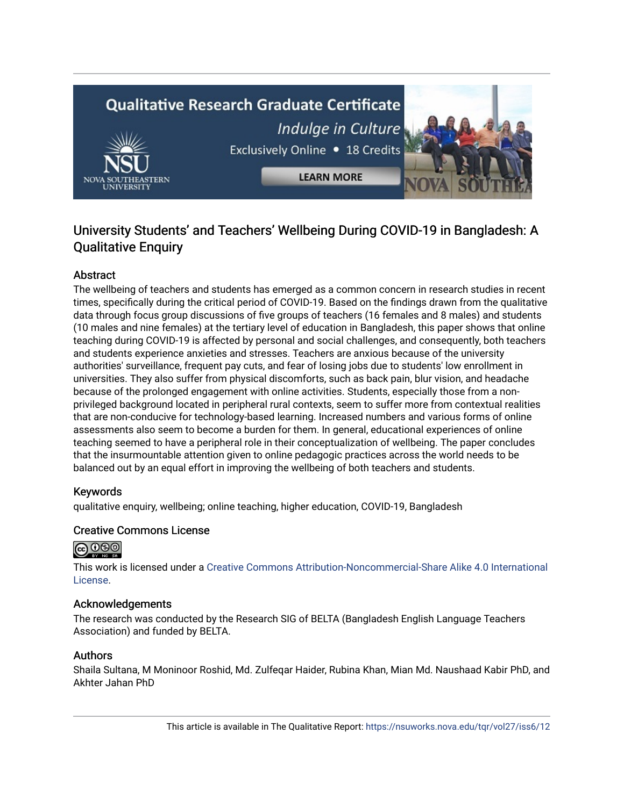# **Qualitative Research Graduate Certificate** Indulge in Culture Exclusively Online . 18 Credits **LEARN MORE**

# University Students' and Teachers' Wellbeing During COVID-19 in Bangladesh: A Qualitative Enquiry

# Abstract

The wellbeing of teachers and students has emerged as a common concern in research studies in recent times, specifically during the critical period of COVID-19. Based on the findings drawn from the qualitative data through focus group discussions of five groups of teachers (16 females and 8 males) and students (10 males and nine females) at the tertiary level of education in Bangladesh, this paper shows that online teaching during COVID-19 is affected by personal and social challenges, and consequently, both teachers and students experience anxieties and stresses. Teachers are anxious because of the university authorities' surveillance, frequent pay cuts, and fear of losing jobs due to students' low enrollment in universities. They also suffer from physical discomforts, such as back pain, blur vision, and headache because of the prolonged engagement with online activities. Students, especially those from a nonprivileged background located in peripheral rural contexts, seem to suffer more from contextual realities that are non-conducive for technology-based learning. Increased numbers and various forms of online assessments also seem to become a burden for them. In general, educational experiences of online teaching seemed to have a peripheral role in their conceptualization of wellbeing. The paper concludes that the insurmountable attention given to online pedagogic practices across the world needs to be balanced out by an equal effort in improving the wellbeing of both teachers and students.

# Keywords

qualitative enquiry, wellbeing; online teaching, higher education, COVID-19, Bangladesh

# Creative Commons License



This work is licensed under a [Creative Commons Attribution-Noncommercial-Share Alike 4.0 International](https://creativecommons.org/licenses/by-nc-sa/4.0/)  [License](https://creativecommons.org/licenses/by-nc-sa/4.0/).

# Acknowledgements

The research was conducted by the Research SIG of BELTA (Bangladesh English Language Teachers Association) and funded by BELTA.

# Authors

Shaila Sultana, M Moninoor Roshid, Md. Zulfeqar Haider, Rubina Khan, Mian Md. Naushaad Kabir PhD, and Akhter Jahan PhD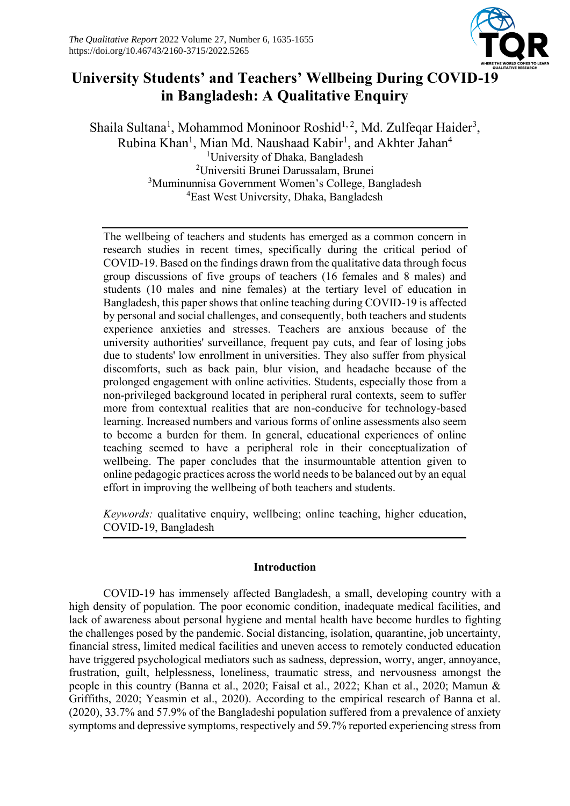

# **University Students' and Teachers' Wellbeing During COVID-19 in Bangladesh: A Qualitative Enquiry**

Shaila Sultana<sup>1</sup>, Mohammod Moninoor Roshid<sup>1, 2</sup>, Md. Zulfeqar Haider<sup>3</sup>, Rubina Khan<sup>1</sup>, Mian Md. Naushaad Kabir<sup>1</sup>, and Akhter Jahan<sup>4</sup> University of Dhaka, Bangladesh Universiti Brunei Darussalam, Brunei Muminunnisa Government Women's College, Bangladesh East West University, Dhaka, Bangladesh

The wellbeing of teachers and students has emerged as a common concern in research studies in recent times, specifically during the critical period of COVID-19. Based on the findings drawn from the qualitative data through focus group discussions of five groups of teachers (16 females and 8 males) and students (10 males and nine females) at the tertiary level of education in Bangladesh, this paper shows that online teaching during COVID-19 is affected by personal and social challenges, and consequently, both teachers and students experience anxieties and stresses. Teachers are anxious because of the university authorities' surveillance, frequent pay cuts, and fear of losing jobs due to students' low enrollment in universities. They also suffer from physical discomforts, such as back pain, blur vision, and headache because of the prolonged engagement with online activities. Students, especially those from a non-privileged background located in peripheral rural contexts, seem to suffer more from contextual realities that are non-conducive for technology-based learning. Increased numbers and various forms of online assessments also seem to become a burden for them. In general, educational experiences of online teaching seemed to have a peripheral role in their conceptualization of wellbeing. The paper concludes that the insurmountable attention given to online pedagogic practices across the world needs to be balanced out by an equal effort in improving the wellbeing of both teachers and students.

*Keywords:* qualitative enquiry, wellbeing; online teaching, higher education, COVID-19, Bangladesh

# **Introduction**

COVID-19 has immensely affected Bangladesh, a small, developing country with a high density of population. The poor economic condition, inadequate medical facilities, and lack of awareness about personal hygiene and mental health have become hurdles to fighting the challenges posed by the pandemic. Social distancing, isolation, quarantine, job uncertainty, financial stress, limited medical facilities and uneven access to remotely conducted education have triggered psychological mediators such as sadness, depression, worry, anger, annoyance, frustration, guilt, helplessness, loneliness, traumatic stress, and nervousness amongst the people in this country (Banna et al., 2020; Faisal et al., 2022; Khan et al., 2020; Mamun & Griffiths, 2020; Yeasmin et al., 2020). According to the empirical research of Banna et al. (2020), 33.7% and 57.9% of the Bangladeshi population suffered from a prevalence of anxiety symptoms and depressive symptoms, respectively and 59.7% reported experiencing stress from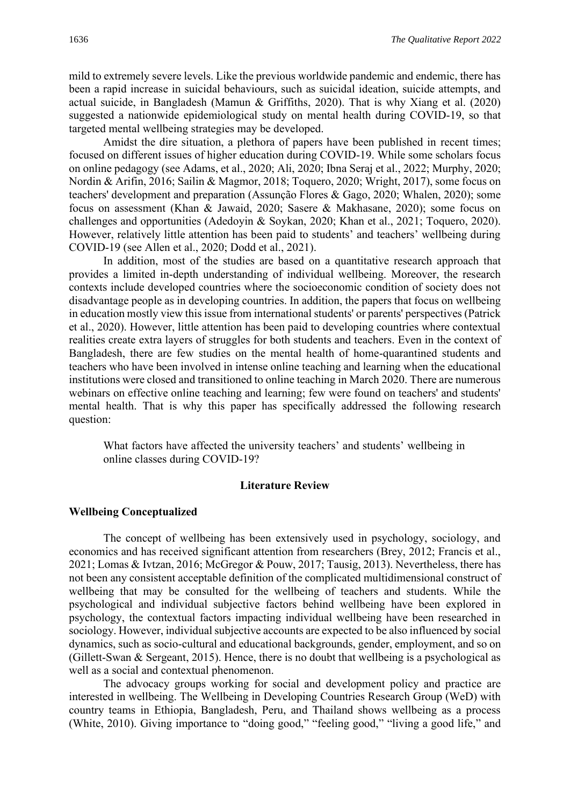mild to extremely severe levels. Like the previous worldwide pandemic and endemic, there has been a rapid increase in suicidal behaviours, such as suicidal ideation, suicide attempts, and actual suicide, in Bangladesh (Mamun & Griffiths, 2020). That is why Xiang et al. (2020) suggested a nationwide epidemiological study on mental health during COVID-19, so that targeted mental wellbeing strategies may be developed.

Amidst the dire situation, a plethora of papers have been published in recent times; focused on different issues of higher education during COVID-19. While some scholars focus on online pedagogy (see Adams, et al., 2020; Ali, 2020; Ibna Seraj et al., 2022; Murphy, 2020; Nordin & Arifin, 2016; Sailin & Magmor, 2018; Toquero, 2020; Wright, 2017), some focus on teachers' development and preparation (Assunção Flores & Gago, 2020; Whalen, 2020); some focus on assessment (Khan & Jawaid, 2020; Sasere & Makhasane, 2020); some focus on challenges and opportunities (Adedoyin & Soykan, 2020; Khan et al., 2021; Toquero, 2020). However, relatively little attention has been paid to students' and teachers' wellbeing during COVID-19 (see Allen et al., 2020; Dodd et al., 2021).

In addition, most of the studies are based on a quantitative research approach that provides a limited in-depth understanding of individual wellbeing. Moreover, the research contexts include developed countries where the socioeconomic condition of society does not disadvantage people as in developing countries. In addition, the papers that focus on wellbeing in education mostly view this issue from international students' or parents' perspectives (Patrick et al., 2020). However, little attention has been paid to developing countries where contextual realities create extra layers of struggles for both students and teachers. Even in the context of Bangladesh, there are few studies on the mental health of home-quarantined students and teachers who have been involved in intense online teaching and learning when the educational institutions were closed and transitioned to online teaching in March 2020. There are numerous webinars on effective online teaching and learning; few were found on teachers' and students' mental health. That is why this paper has specifically addressed the following research question:

What factors have affected the university teachers' and students' wellbeing in online classes during COVID-19?

#### **Literature Review**

#### **Wellbeing Conceptualized**

The concept of wellbeing has been extensively used in psychology, sociology, and economics and has received significant attention from researchers (Brey, 2012; Francis et al., 2021; Lomas & Ivtzan, 2016; McGregor & Pouw, 2017; Tausig, 2013). Nevertheless, there has not been any consistent acceptable definition of the complicated multidimensional construct of wellbeing that may be consulted for the wellbeing of teachers and students. While the psychological and individual subjective factors behind wellbeing have been explored in psychology, the contextual factors impacting individual wellbeing have been researched in sociology. However, individual subjective accounts are expected to be also influenced by social dynamics, such as socio-cultural and educational backgrounds, gender, employment, and so on (Gillett-Swan & Sergeant, 2015). Hence, there is no doubt that wellbeing is a psychological as well as a social and contextual phenomenon.

The advocacy groups working for social and development policy and practice are interested in wellbeing. The Wellbeing in Developing Countries Research Group (WeD) with country teams in Ethiopia, Bangladesh, Peru, and Thailand shows wellbeing as a process (White, 2010). Giving importance to "doing good," "feeling good," "living a good life," and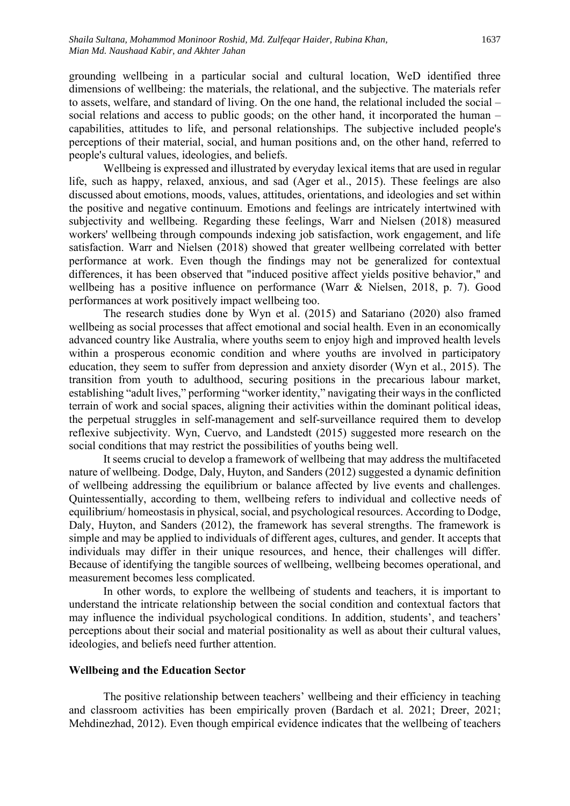grounding wellbeing in a particular social and cultural location, WeD identified three dimensions of wellbeing: the materials, the relational, and the subjective. The materials refer to assets, welfare, and standard of living. On the one hand, the relational included the social – social relations and access to public goods; on the other hand, it incorporated the human – capabilities, attitudes to life, and personal relationships. The subjective included people's perceptions of their material, social, and human positions and, on the other hand, referred to people's cultural values, ideologies, and beliefs.

Wellbeing is expressed and illustrated by everyday lexical items that are used in regular life, such as happy, relaxed, anxious, and sad (Ager et al., 2015). These feelings are also discussed about emotions, moods, values, attitudes, orientations, and ideologies and set within the positive and negative continuum. Emotions and feelings are intricately intertwined with subjectivity and wellbeing. Regarding these feelings, Warr and Nielsen (2018) measured workers' wellbeing through compounds indexing job satisfaction, work engagement, and life satisfaction. Warr and Nielsen (2018) showed that greater wellbeing correlated with better performance at work. Even though the findings may not be generalized for contextual differences, it has been observed that "induced positive affect yields positive behavior," and wellbeing has a positive influence on performance (Warr & Nielsen, 2018, p. 7). Good performances at work positively impact wellbeing too.

The research studies done by Wyn et al. (2015) and Satariano (2020) also framed wellbeing as social processes that affect emotional and social health. Even in an economically advanced country like Australia, where youths seem to enjoy high and improved health levels within a prosperous economic condition and where youths are involved in participatory education, they seem to suffer from depression and anxiety disorder (Wyn et al., 2015). The transition from youth to adulthood, securing positions in the precarious labour market, establishing "adult lives," performing "worker identity," navigating their ways in the conflicted terrain of work and social spaces, aligning their activities within the dominant political ideas, the perpetual struggles in self-management and self-surveillance required them to develop reflexive subjectivity. Wyn, Cuervo, and Landstedt (2015) suggested more research on the social conditions that may restrict the possibilities of youths being well.

It seems crucial to develop a framework of wellbeing that may address the multifaceted nature of wellbeing. Dodge, Daly, Huyton, and Sanders (2012) suggested a dynamic definition of wellbeing addressing the equilibrium or balance affected by live events and challenges. Quintessentially, according to them, wellbeing refers to individual and collective needs of equilibrium/ homeostasis in physical, social, and psychological resources. According to Dodge, Daly, Huyton, and Sanders (2012), the framework has several strengths. The framework is simple and may be applied to individuals of different ages, cultures, and gender. It accepts that individuals may differ in their unique resources, and hence, their challenges will differ. Because of identifying the tangible sources of wellbeing, wellbeing becomes operational, and measurement becomes less complicated.

In other words, to explore the wellbeing of students and teachers, it is important to understand the intricate relationship between the social condition and contextual factors that may influence the individual psychological conditions. In addition, students', and teachers' perceptions about their social and material positionality as well as about their cultural values, ideologies, and beliefs need further attention.

#### **Wellbeing and the Education Sector**

The positive relationship between teachers' wellbeing and their efficiency in teaching and classroom activities has been empirically proven (Bardach et al. 2021; Dreer, 2021; Mehdinezhad, 2012). Even though empirical evidence indicates that the wellbeing of teachers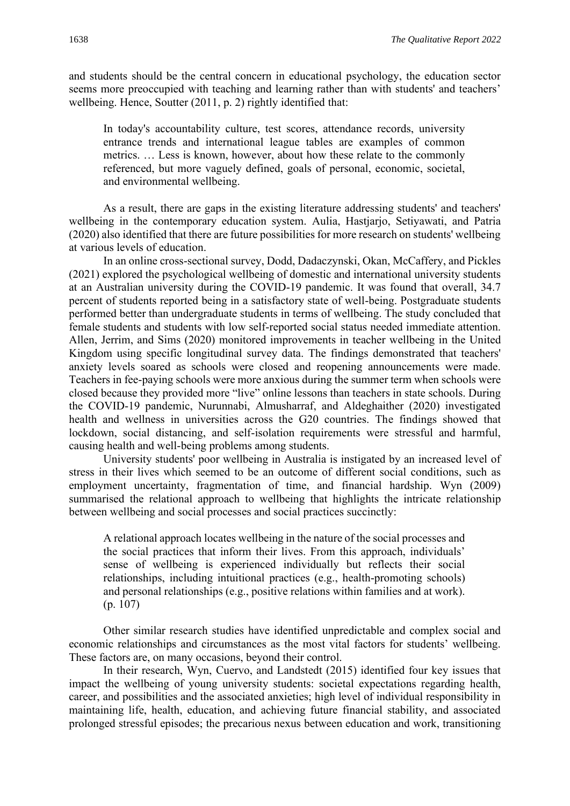and students should be the central concern in educational psychology, the education sector seems more preoccupied with teaching and learning rather than with students' and teachers' wellbeing. Hence, Soutter (2011, p. 2) rightly identified that:

In today's accountability culture, test scores, attendance records, university entrance trends and international league tables are examples of common metrics. … Less is known, however, about how these relate to the commonly referenced, but more vaguely defined, goals of personal, economic, societal, and environmental wellbeing.

As a result, there are gaps in the existing literature addressing students' and teachers' wellbeing in the contemporary education system. Aulia, Hastjarjo, Setiyawati, and Patria (2020) also identified that there are future possibilities for more research on students' wellbeing at various levels of education.

In an online cross-sectional survey, Dodd, Dadaczynski, Okan, McCaffery, and Pickles (2021) explored the psychological wellbeing of domestic and international university students at an Australian university during the COVID-19 pandemic. It was found that overall, 34.7 percent of students reported being in a satisfactory state of well-being. Postgraduate students performed better than undergraduate students in terms of wellbeing. The study concluded that female students and students with low self-reported social status needed immediate attention. Allen, Jerrim, and Sims (2020) monitored improvements in teacher wellbeing in the United Kingdom using specific longitudinal survey data. The findings demonstrated that teachers' anxiety levels soared as schools were closed and reopening announcements were made. Teachers in fee-paying schools were more anxious during the summer term when schools were closed because they provided more "live" online lessons than teachers in state schools. During the COVID-19 pandemic, Nurunnabi, Almusharraf, and Aldeghaither (2020) investigated health and wellness in universities across the G20 countries. The findings showed that lockdown, social distancing, and self-isolation requirements were stressful and harmful, causing health and well-being problems among students.

University students' poor wellbeing in Australia is instigated by an increased level of stress in their lives which seemed to be an outcome of different social conditions, such as employment uncertainty, fragmentation of time, and financial hardship. Wyn (2009) summarised the relational approach to wellbeing that highlights the intricate relationship between wellbeing and social processes and social practices succinctly:

A relational approach locates wellbeing in the nature of the social processes and the social practices that inform their lives. From this approach, individuals' sense of wellbeing is experienced individually but reflects their social relationships, including intuitional practices (e.g., health-promoting schools) and personal relationships (e.g., positive relations within families and at work). (p. 107)

Other similar research studies have identified unpredictable and complex social and economic relationships and circumstances as the most vital factors for students' wellbeing. These factors are, on many occasions, beyond their control.

In their research, Wyn, Cuervo, and Landstedt (2015) identified four key issues that impact the wellbeing of young university students: societal expectations regarding health, career, and possibilities and the associated anxieties; high level of individual responsibility in maintaining life, health, education, and achieving future financial stability, and associated prolonged stressful episodes; the precarious nexus between education and work, transitioning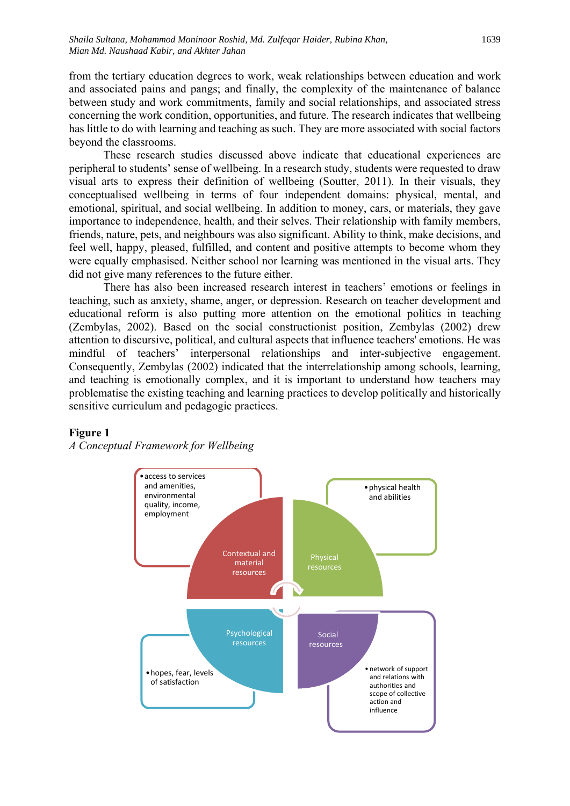from the tertiary education degrees to work, weak relationships between education and work and associated pains and pangs; and finally, the complexity of the maintenance of balance between study and work commitments, family and social relationships, and associated stress concerning the work condition, opportunities, and future. The research indicates that wellbeing has little to do with learning and teaching as such. They are more associated with social factors beyond the classrooms.

These research studies discussed above indicate that educational experiences are peripheral to students' sense of wellbeing. In a research study, students were requested to draw visual arts to express their definition of wellbeing (Soutter, 2011). In their visuals, they conceptualised wellbeing in terms of four independent domains: physical, mental, and emotional, spiritual, and social wellbeing. In addition to money, cars, or materials, they gave importance to independence, health, and their selves. Their relationship with family members, friends, nature, pets, and neighbours was also significant. Ability to think, make decisions, and feel well, happy, pleased, fulfilled, and content and positive attempts to become whom they were equally emphasised. Neither school nor learning was mentioned in the visual arts. They did not give many references to the future either.

There has also been increased research interest in teachers' emotions or feelings in teaching, such as anxiety, shame, anger, or depression. Research on teacher development and educational reform is also putting more attention on the emotional politics in teaching (Zembylas, 2002). Based on the social constructionist position, Zembylas (2002) drew attention to discursive, political, and cultural aspects that influence teachers' emotions. He was mindful of teachers' interpersonal relationships and inter-subjective engagement. Consequently, Zembylas (2002) indicated that the interrelationship among schools, learning, and teaching is emotionally complex, and it is important to understand how teachers may problematise the existing teaching and learning practices to develop politically and historically sensitive curriculum and pedagogic practices.



# **Figure 1**

*A Conceptual Framework for Wellbeing*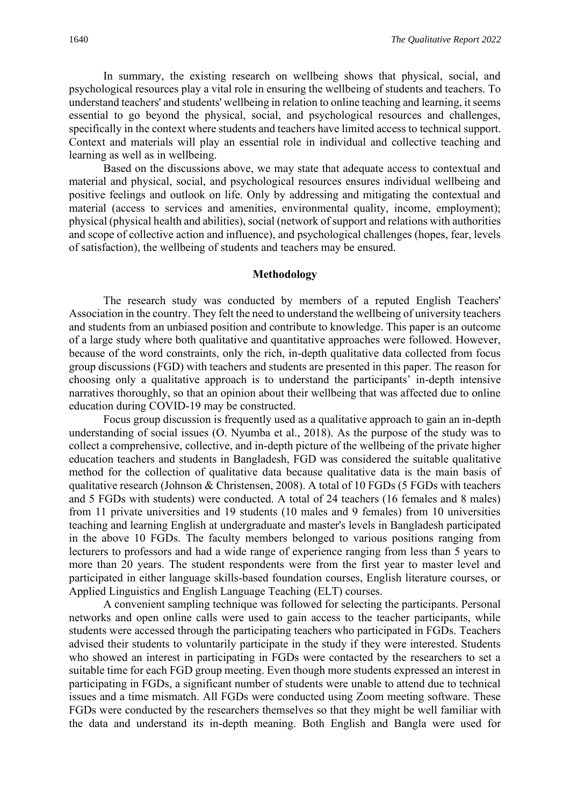In summary, the existing research on wellbeing shows that physical, social, and psychological resources play a vital role in ensuring the wellbeing of students and teachers. To understand teachers' and students' wellbeing in relation to online teaching and learning, it seems essential to go beyond the physical, social, and psychological resources and challenges, specifically in the context where students and teachers have limited access to technical support. Context and materials will play an essential role in individual and collective teaching and learning as well as in wellbeing.

Based on the discussions above, we may state that adequate access to contextual and material and physical, social, and psychological resources ensures individual wellbeing and positive feelings and outlook on life. Only by addressing and mitigating the contextual and material (access to services and amenities, environmental quality, income, employment); physical (physical health and abilities), social (network of support and relations with authorities and scope of collective action and influence), and psychological challenges (hopes, fear, levels of satisfaction), the wellbeing of students and teachers may be ensured.

#### **Methodology**

The research study was conducted by members of a reputed English Teachers' Association in the country. They felt the need to understand the wellbeing of university teachers and students from an unbiased position and contribute to knowledge. This paper is an outcome of a large study where both qualitative and quantitative approaches were followed. However, because of the word constraints, only the rich, in-depth qualitative data collected from focus group discussions (FGD) with teachers and students are presented in this paper. The reason for choosing only a qualitative approach is to understand the participants' in-depth intensive narratives thoroughly, so that an opinion about their wellbeing that was affected due to online education during COVID-19 may be constructed.

Focus group discussion is frequently used as a qualitative approach to gain an in-depth understanding of social issues (O. Nyumba et al., 2018). As the purpose of the study was to collect a comprehensive, collective, and in-depth picture of the wellbeing of the private higher education teachers and students in Bangladesh, FGD was considered the suitable qualitative method for the collection of qualitative data because qualitative data is the main basis of qualitative research (Johnson & Christensen, 2008). A total of 10 FGDs (5 FGDs with teachers and 5 FGDs with students) were conducted. A total of 24 teachers (16 females and 8 males) from 11 private universities and 19 students (10 males and 9 females) from 10 universities teaching and learning English at undergraduate and master's levels in Bangladesh participated in the above 10 FGDs. The faculty members belonged to various positions ranging from lecturers to professors and had a wide range of experience ranging from less than 5 years to more than 20 years. The student respondents were from the first year to master level and participated in either language skills-based foundation courses, English literature courses, or Applied Linguistics and English Language Teaching (ELT) courses.

A convenient sampling technique was followed for selecting the participants. Personal networks and open online calls were used to gain access to the teacher participants, while students were accessed through the participating teachers who participated in FGDs. Teachers advised their students to voluntarily participate in the study if they were interested. Students who showed an interest in participating in FGDs were contacted by the researchers to set a suitable time for each FGD group meeting. Even though more students expressed an interest in participating in FGDs, a significant number of students were unable to attend due to technical issues and a time mismatch. All FGDs were conducted using Zoom meeting software. These FGDs were conducted by the researchers themselves so that they might be well familiar with the data and understand its in-depth meaning. Both English and Bangla were used for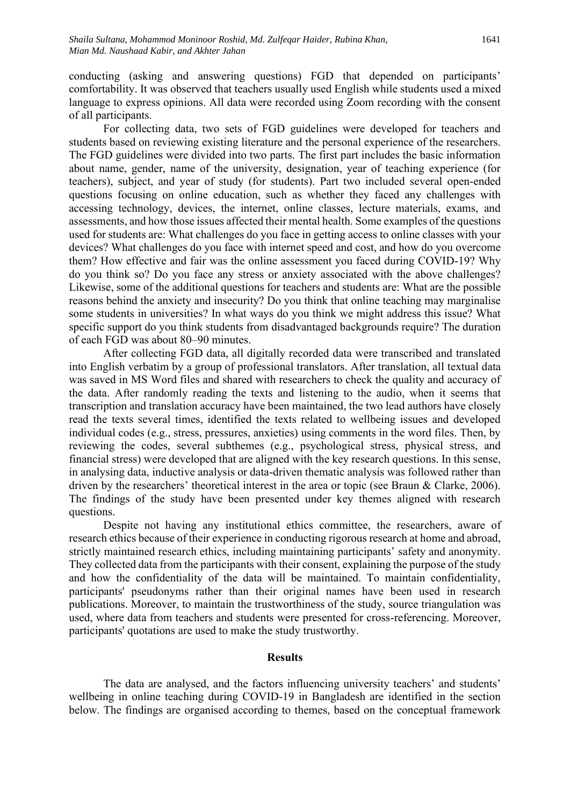conducting (asking and answering questions) FGD that depended on participants' comfortability. It was observed that teachers usually used English while students used a mixed language to express opinions. All data were recorded using Zoom recording with the consent of all participants.

For collecting data, two sets of FGD guidelines were developed for teachers and students based on reviewing existing literature and the personal experience of the researchers. The FGD guidelines were divided into two parts. The first part includes the basic information about name, gender, name of the university, designation, year of teaching experience (for teachers), subject, and year of study (for students). Part two included several open-ended questions focusing on online education, such as whether they faced any challenges with accessing technology, devices, the internet, online classes, lecture materials, exams, and assessments, and how those issues affected their mental health. Some examples of the questions used for students are: What challenges do you face in getting access to online classes with your devices? What challenges do you face with internet speed and cost, and how do you overcome them? How effective and fair was the online assessment you faced during COVID-19? Why do you think so? Do you face any stress or anxiety associated with the above challenges? Likewise, some of the additional questions for teachers and students are: What are the possible reasons behind the anxiety and insecurity? Do you think that online teaching may marginalise some students in universities? In what ways do you think we might address this issue? What specific support do you think students from disadvantaged backgrounds require? The duration of each FGD was about 80–90 minutes.

After collecting FGD data, all digitally recorded data were transcribed and translated into English verbatim by a group of professional translators. After translation, all textual data was saved in MS Word files and shared with researchers to check the quality and accuracy of the data. After randomly reading the texts and listening to the audio, when it seems that transcription and translation accuracy have been maintained, the two lead authors have closely read the texts several times, identified the texts related to wellbeing issues and developed individual codes (e.g., stress, pressures, anxieties) using comments in the word files. Then, by reviewing the codes, several subthemes (e.g., psychological stress, physical stress, and financial stress) were developed that are aligned with the key research questions. In this sense, in analysing data, inductive analysis or data-driven thematic analysis was followed rather than driven by the researchers' theoretical interest in the area or topic (see Braun & Clarke, 2006). The findings of the study have been presented under key themes aligned with research questions.

Despite not having any institutional ethics committee, the researchers, aware of research ethics because of their experience in conducting rigorous research at home and abroad, strictly maintained research ethics, including maintaining participants' safety and anonymity. They collected data from the participants with their consent, explaining the purpose of the study and how the confidentiality of the data will be maintained. To maintain confidentiality, participants' pseudonyms rather than their original names have been used in research publications. Moreover, to maintain the trustworthiness of the study, source triangulation was used, where data from teachers and students were presented for cross-referencing. Moreover, participants' quotations are used to make the study trustworthy.

# **Results**

The data are analysed, and the factors influencing university teachers' and students' wellbeing in online teaching during COVID-19 in Bangladesh are identified in the section below. The findings are organised according to themes, based on the conceptual framework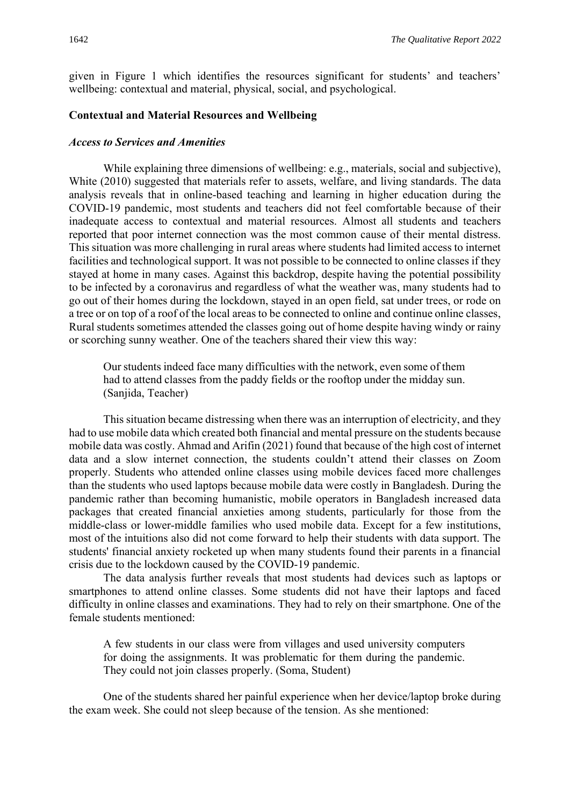given in Figure 1 which identifies the resources significant for students' and teachers' wellbeing: contextual and material, physical, social, and psychological.

# **Contextual and Material Resources and Wellbeing**

#### *Access to Services and Amenities*

While explaining three dimensions of wellbeing: e.g., materials, social and subjective), White (2010) suggested that materials refer to assets, welfare, and living standards. The data analysis reveals that in online-based teaching and learning in higher education during the COVID-19 pandemic, most students and teachers did not feel comfortable because of their inadequate access to contextual and material resources. Almost all students and teachers reported that poor internet connection was the most common cause of their mental distress. This situation was more challenging in rural areas where students had limited access to internet facilities and technological support. It was not possible to be connected to online classes if they stayed at home in many cases. Against this backdrop, despite having the potential possibility to be infected by a coronavirus and regardless of what the weather was, many students had to go out of their homes during the lockdown, stayed in an open field, sat under trees, or rode on a tree or on top of a roof of the local areas to be connected to online and continue online classes, Rural students sometimes attended the classes going out of home despite having windy or rainy or scorching sunny weather. One of the teachers shared their view this way:

Our students indeed face many difficulties with the network, even some of them had to attend classes from the paddy fields or the rooftop under the midday sun. (Sanjida, Teacher)

This situation became distressing when there was an interruption of electricity, and they had to use mobile data which created both financial and mental pressure on the students because mobile data was costly. Ahmad and Arifin (2021) found that because of the high cost of internet data and a slow internet connection, the students couldn't attend their classes on Zoom properly. Students who attended online classes using mobile devices faced more challenges than the students who used laptops because mobile data were costly in Bangladesh. During the pandemic rather than becoming humanistic, mobile operators in Bangladesh increased data packages that created financial anxieties among students, particularly for those from the middle-class or lower-middle families who used mobile data. Except for a few institutions, most of the intuitions also did not come forward to help their students with data support. The students' financial anxiety rocketed up when many students found their parents in a financial crisis due to the lockdown caused by the COVID-19 pandemic.

The data analysis further reveals that most students had devices such as laptops or smartphones to attend online classes. Some students did not have their laptops and faced difficulty in online classes and examinations. They had to rely on their smartphone. One of the female students mentioned:

A few students in our class were from villages and used university computers for doing the assignments. It was problematic for them during the pandemic. They could not join classes properly. (Soma, Student)

One of the students shared her painful experience when her device/laptop broke during the exam week. She could not sleep because of the tension. As she mentioned: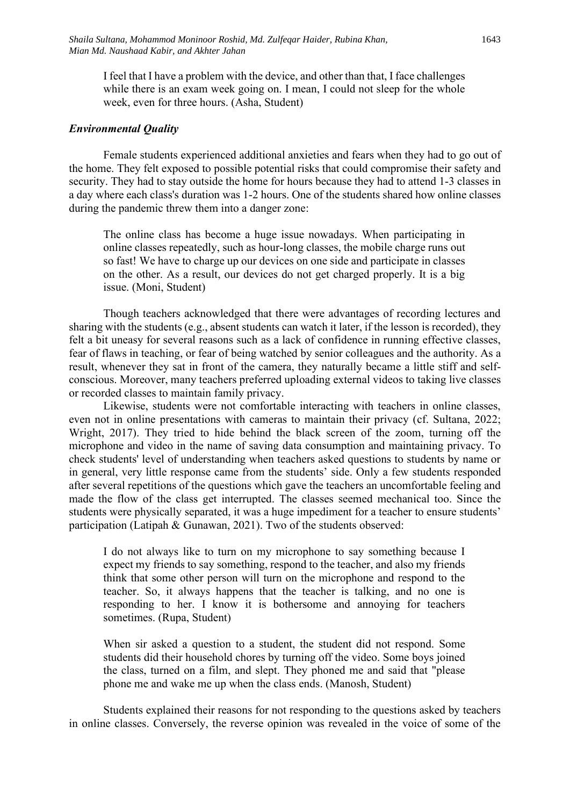I feel that I have a problem with the device, and other than that, I face challenges while there is an exam week going on. I mean, I could not sleep for the whole week, even for three hours. (Asha, Student)

#### *Environmental Quality*

Female students experienced additional anxieties and fears when they had to go out of the home. They felt exposed to possible potential risks that could compromise their safety and security. They had to stay outside the home for hours because they had to attend 1-3 classes in a day where each class's duration was 1-2 hours. One of the students shared how online classes during the pandemic threw them into a danger zone:

The online class has become a huge issue nowadays. When participating in online classes repeatedly, such as hour-long classes, the mobile charge runs out so fast! We have to charge up our devices on one side and participate in classes on the other. As a result, our devices do not get charged properly. It is a big issue. (Moni, Student)

Though teachers acknowledged that there were advantages of recording lectures and sharing with the students (e.g., absent students can watch it later, if the lesson is recorded), they felt a bit uneasy for several reasons such as a lack of confidence in running effective classes, fear of flaws in teaching, or fear of being watched by senior colleagues and the authority. As a result, whenever they sat in front of the camera, they naturally became a little stiff and selfconscious. Moreover, many teachers preferred uploading external videos to taking live classes or recorded classes to maintain family privacy.

Likewise, students were not comfortable interacting with teachers in online classes, even not in online presentations with cameras to maintain their privacy (cf. Sultana, 2022; Wright, 2017). They tried to hide behind the black screen of the zoom, turning off the microphone and video in the name of saving data consumption and maintaining privacy. To check students' level of understanding when teachers asked questions to students by name or in general, very little response came from the students' side. Only a few students responded after several repetitions of the questions which gave the teachers an uncomfortable feeling and made the flow of the class get interrupted. The classes seemed mechanical too. Since the students were physically separated, it was a huge impediment for a teacher to ensure students' participation (Latipah & Gunawan, 2021). Two of the students observed:

I do not always like to turn on my microphone to say something because I expect my friends to say something, respond to the teacher, and also my friends think that some other person will turn on the microphone and respond to the teacher. So, it always happens that the teacher is talking, and no one is responding to her. I know it is bothersome and annoying for teachers sometimes. (Rupa, Student)

When sir asked a question to a student, the student did not respond. Some students did their household chores by turning off the video. Some boys joined the class, turned on a film, and slept. They phoned me and said that "please phone me and wake me up when the class ends. (Manosh, Student)

Students explained their reasons for not responding to the questions asked by teachers in online classes. Conversely, the reverse opinion was revealed in the voice of some of the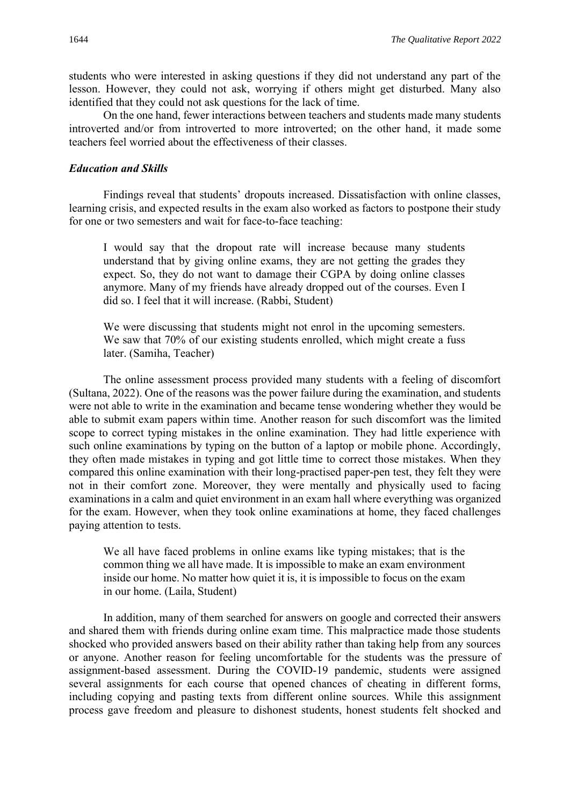students who were interested in asking questions if they did not understand any part of the lesson. However, they could not ask, worrying if others might get disturbed. Many also identified that they could not ask questions for the lack of time.

On the one hand, fewer interactions between teachers and students made many students introverted and/or from introverted to more introverted; on the other hand, it made some teachers feel worried about the effectiveness of their classes.

#### *Education and Skills*

Findings reveal that students' dropouts increased. Dissatisfaction with online classes, learning crisis, and expected results in the exam also worked as factors to postpone their study for one or two semesters and wait for face-to-face teaching:

I would say that the dropout rate will increase because many students understand that by giving online exams, they are not getting the grades they expect. So, they do not want to damage their CGPA by doing online classes anymore. Many of my friends have already dropped out of the courses. Even I did so. I feel that it will increase. (Rabbi, Student)

We were discussing that students might not enrol in the upcoming semesters. We saw that 70% of our existing students enrolled, which might create a fuss later. (Samiha, Teacher)

The online assessment process provided many students with a feeling of discomfort (Sultana, 2022). One of the reasons was the power failure during the examination, and students were not able to write in the examination and became tense wondering whether they would be able to submit exam papers within time. Another reason for such discomfort was the limited scope to correct typing mistakes in the online examination. They had little experience with such online examinations by typing on the button of a laptop or mobile phone. Accordingly, they often made mistakes in typing and got little time to correct those mistakes. When they compared this online examination with their long-practised paper-pen test, they felt they were not in their comfort zone. Moreover, they were mentally and physically used to facing examinations in a calm and quiet environment in an exam hall where everything was organized for the exam. However, when they took online examinations at home, they faced challenges paying attention to tests.

We all have faced problems in online exams like typing mistakes; that is the common thing we all have made. It is impossible to make an exam environment inside our home. No matter how quiet it is, it is impossible to focus on the exam in our home. (Laila, Student)

In addition, many of them searched for answers on google and corrected their answers and shared them with friends during online exam time. This malpractice made those students shocked who provided answers based on their ability rather than taking help from any sources or anyone. Another reason for feeling uncomfortable for the students was the pressure of assignment-based assessment. During the COVID-19 pandemic, students were assigned several assignments for each course that opened chances of cheating in different forms, including copying and pasting texts from different online sources. While this assignment process gave freedom and pleasure to dishonest students, honest students felt shocked and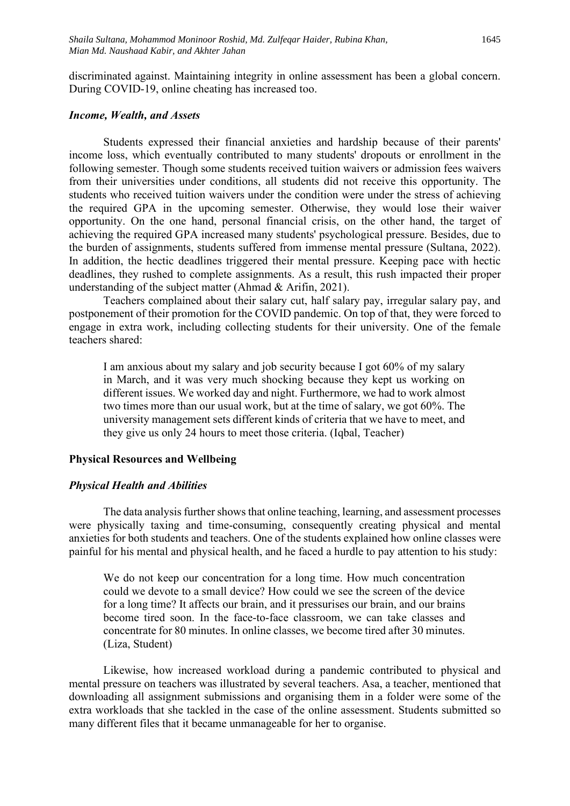discriminated against. Maintaining integrity in online assessment has been a global concern. During COVID-19, online cheating has increased too.

#### *Income, Wealth, and Assets*

Students expressed their financial anxieties and hardship because of their parents' income loss, which eventually contributed to many students' dropouts or enrollment in the following semester. Though some students received tuition waivers or admission fees waivers from their universities under conditions, all students did not receive this opportunity. The students who received tuition waivers under the condition were under the stress of achieving the required GPA in the upcoming semester. Otherwise, they would lose their waiver opportunity. On the one hand, personal financial crisis, on the other hand, the target of achieving the required GPA increased many students' psychological pressure. Besides, due to the burden of assignments, students suffered from immense mental pressure (Sultana, 2022). In addition, the hectic deadlines triggered their mental pressure. Keeping pace with hectic deadlines, they rushed to complete assignments. As a result, this rush impacted their proper understanding of the subject matter (Ahmad & Arifin, 2021).

Teachers complained about their salary cut, half salary pay, irregular salary pay, and postponement of their promotion for the COVID pandemic. On top of that, they were forced to engage in extra work, including collecting students for their university. One of the female teachers shared:

I am anxious about my salary and job security because I got 60% of my salary in March, and it was very much shocking because they kept us working on different issues. We worked day and night. Furthermore, we had to work almost two times more than our usual work, but at the time of salary, we got 60%. The university management sets different kinds of criteria that we have to meet, and they give us only 24 hours to meet those criteria. (Iqbal, Teacher)

# **Physical Resources and Wellbeing**

# *Physical Health and Abilities*

The data analysis further shows that online teaching, learning, and assessment processes were physically taxing and time-consuming, consequently creating physical and mental anxieties for both students and teachers. One of the students explained how online classes were painful for his mental and physical health, and he faced a hurdle to pay attention to his study:

We do not keep our concentration for a long time. How much concentration could we devote to a small device? How could we see the screen of the device for a long time? It affects our brain, and it pressurises our brain, and our brains become tired soon. In the face-to-face classroom, we can take classes and concentrate for 80 minutes. In online classes, we become tired after 30 minutes. (Liza, Student)

Likewise, how increased workload during a pandemic contributed to physical and mental pressure on teachers was illustrated by several teachers. Asa, a teacher, mentioned that downloading all assignment submissions and organising them in a folder were some of the extra workloads that she tackled in the case of the online assessment. Students submitted so many different files that it became unmanageable for her to organise.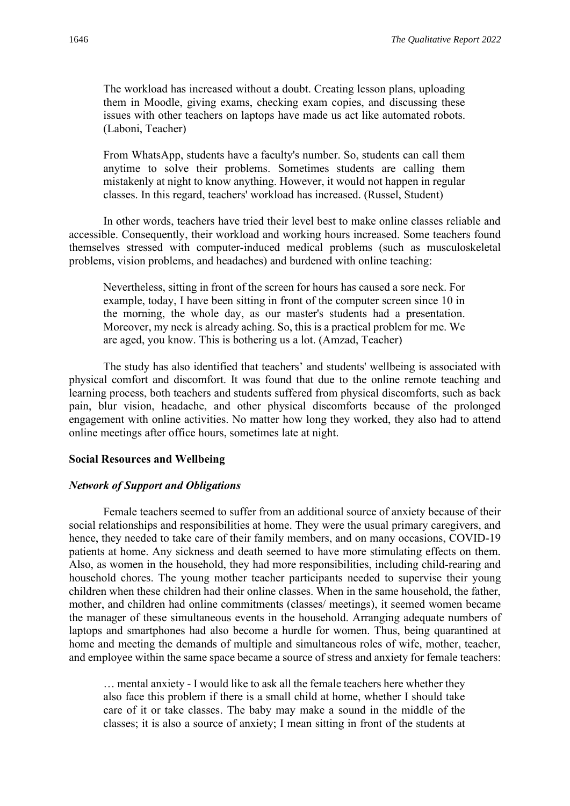The workload has increased without a doubt. Creating lesson plans, uploading them in Moodle, giving exams, checking exam copies, and discussing these issues with other teachers on laptops have made us act like automated robots. (Laboni, Teacher)

From WhatsApp, students have a faculty's number. So, students can call them anytime to solve their problems. Sometimes students are calling them mistakenly at night to know anything. However, it would not happen in regular classes. In this regard, teachers' workload has increased. (Russel, Student)

In other words, teachers have tried their level best to make online classes reliable and accessible. Consequently, their workload and working hours increased. Some teachers found themselves stressed with computer-induced medical problems (such as musculoskeletal problems, vision problems, and headaches) and burdened with online teaching:

Nevertheless, sitting in front of the screen for hours has caused a sore neck. For example, today, I have been sitting in front of the computer screen since 10 in the morning, the whole day, as our master's students had a presentation. Moreover, my neck is already aching. So, this is a practical problem for me. We are aged, you know. This is bothering us a lot. (Amzad, Teacher)

The study has also identified that teachers' and students' wellbeing is associated with physical comfort and discomfort. It was found that due to the online remote teaching and learning process, both teachers and students suffered from physical discomforts, such as back pain, blur vision, headache, and other physical discomforts because of the prolonged engagement with online activities. No matter how long they worked, they also had to attend online meetings after office hours, sometimes late at night.

#### **Social Resources and Wellbeing**

#### *Network of Support and Obligations*

Female teachers seemed to suffer from an additional source of anxiety because of their social relationships and responsibilities at home. They were the usual primary caregivers, and hence, they needed to take care of their family members, and on many occasions, COVID-19 patients at home. Any sickness and death seemed to have more stimulating effects on them. Also, as women in the household, they had more responsibilities, including child-rearing and household chores. The young mother teacher participants needed to supervise their young children when these children had their online classes. When in the same household, the father, mother, and children had online commitments (classes/ meetings), it seemed women became the manager of these simultaneous events in the household. Arranging adequate numbers of laptops and smartphones had also become a hurdle for women. Thus, being quarantined at home and meeting the demands of multiple and simultaneous roles of wife, mother, teacher, and employee within the same space became a source of stress and anxiety for female teachers:

… mental anxiety - I would like to ask all the female teachers here whether they also face this problem if there is a small child at home, whether I should take care of it or take classes. The baby may make a sound in the middle of the classes; it is also a source of anxiety; I mean sitting in front of the students at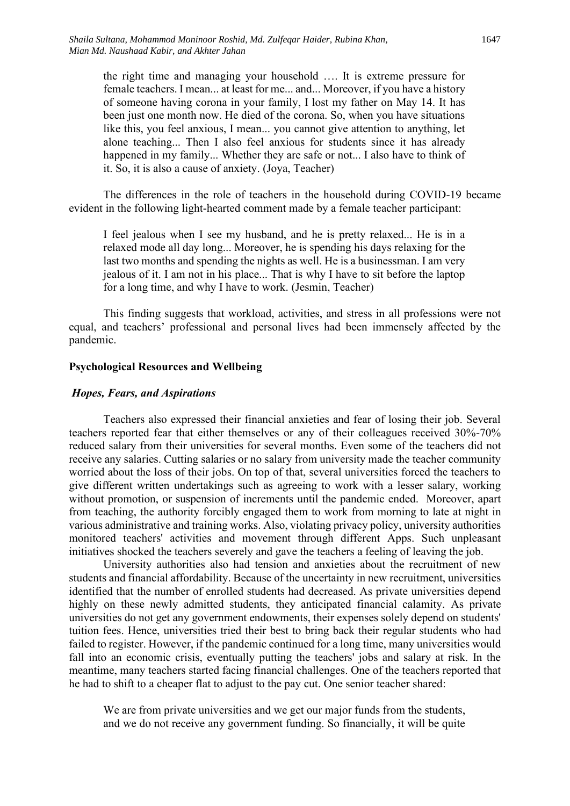the right time and managing your household …. It is extreme pressure for female teachers. I mean... at least for me... and... Moreover, if you have a history of someone having corona in your family, I lost my father on May 14. It has been just one month now. He died of the corona. So, when you have situations like this, you feel anxious, I mean... you cannot give attention to anything, let alone teaching... Then I also feel anxious for students since it has already happened in my family... Whether they are safe or not... I also have to think of it. So, it is also a cause of anxiety. (Joya, Teacher)

The differences in the role of teachers in the household during COVID-19 became evident in the following light-hearted comment made by a female teacher participant:

I feel jealous when I see my husband, and he is pretty relaxed... He is in a relaxed mode all day long... Moreover, he is spending his days relaxing for the last two months and spending the nights as well. He is a businessman. I am very jealous of it. I am not in his place... That is why I have to sit before the laptop for a long time, and why I have to work. (Jesmin, Teacher)

This finding suggests that workload, activities, and stress in all professions were not equal, and teachers' professional and personal lives had been immensely affected by the pandemic.

#### **Psychological Resources and Wellbeing**

#### *Hopes, Fears, and Aspirations*

Teachers also expressed their financial anxieties and fear of losing their job. Several teachers reported fear that either themselves or any of their colleagues received 30%-70% reduced salary from their universities for several months. Even some of the teachers did not receive any salaries. Cutting salaries or no salary from university made the teacher community worried about the loss of their jobs. On top of that, several universities forced the teachers to give different written undertakings such as agreeing to work with a lesser salary, working without promotion, or suspension of increments until the pandemic ended. Moreover, apart from teaching, the authority forcibly engaged them to work from morning to late at night in various administrative and training works. Also, violating privacy policy, university authorities monitored teachers' activities and movement through different Apps. Such unpleasant initiatives shocked the teachers severely and gave the teachers a feeling of leaving the job.

University authorities also had tension and anxieties about the recruitment of new students and financial affordability. Because of the uncertainty in new recruitment, universities identified that the number of enrolled students had decreased. As private universities depend highly on these newly admitted students, they anticipated financial calamity. As private universities do not get any government endowments, their expenses solely depend on students' tuition fees. Hence, universities tried their best to bring back their regular students who had failed to register. However, if the pandemic continued for a long time, many universities would fall into an economic crisis, eventually putting the teachers' jobs and salary at risk. In the meantime, many teachers started facing financial challenges. One of the teachers reported that he had to shift to a cheaper flat to adjust to the pay cut. One senior teacher shared:

We are from private universities and we get our major funds from the students, and we do not receive any government funding. So financially, it will be quite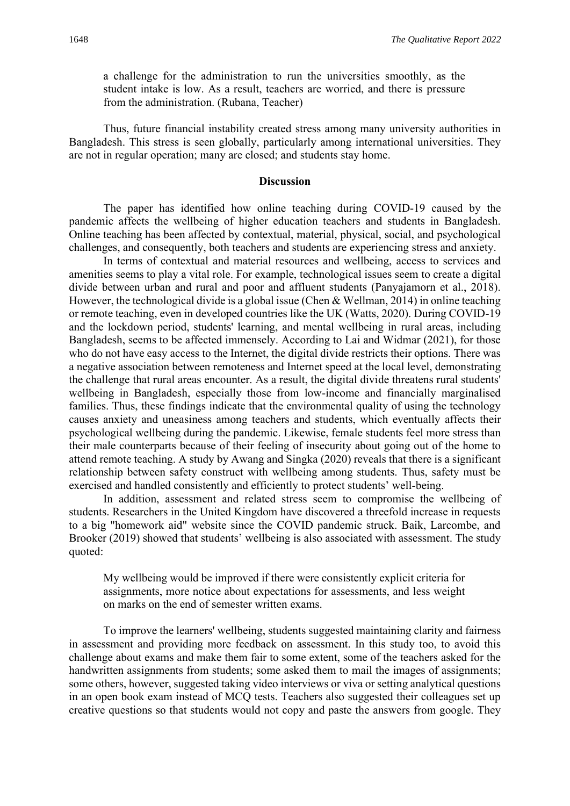a challenge for the administration to run the universities smoothly, as the student intake is low. As a result, teachers are worried, and there is pressure from the administration. (Rubana, Teacher)

Thus, future financial instability created stress among many university authorities in Bangladesh. This stress is seen globally, particularly among international universities. They are not in regular operation; many are closed; and students stay home.

#### **Discussion**

The paper has identified how online teaching during COVID-19 caused by the pandemic affects the wellbeing of higher education teachers and students in Bangladesh. Online teaching has been affected by contextual, material, physical, social, and psychological challenges, and consequently, both teachers and students are experiencing stress and anxiety.

In terms of contextual and material resources and wellbeing, access to services and amenities seems to play a vital role. For example, technological issues seem to create a digital divide between urban and rural and poor and affluent students (Panyajamorn et al., 2018). However, the technological divide is a global issue (Chen & Wellman, 2014) in online teaching or remote teaching, even in developed countries like the UK (Watts, 2020). During COVID-19 and the lockdown period, students' learning, and mental wellbeing in rural areas, including Bangladesh, seems to be affected immensely. According to Lai and Widmar (2021), for those who do not have easy access to the Internet, the digital divide restricts their options. There was a negative association between remoteness and Internet speed at the local level, demonstrating the challenge that rural areas encounter. As a result, the digital divide threatens rural students' wellbeing in Bangladesh, especially those from low-income and financially marginalised families. Thus, these findings indicate that the environmental quality of using the technology causes anxiety and uneasiness among teachers and students, which eventually affects their psychological wellbeing during the pandemic. Likewise, female students feel more stress than their male counterparts because of their feeling of insecurity about going out of the home to attend remote teaching. A study by Awang and Singka (2020) reveals that there is a significant relationship between safety construct with wellbeing among students. Thus, safety must be exercised and handled consistently and efficiently to protect students' well-being.

In addition, assessment and related stress seem to compromise the wellbeing of students. Researchers in the United Kingdom have discovered a threefold increase in requests to a big "homework aid" website since the COVID pandemic struck. Baik, Larcombe, and Brooker (2019) showed that students' wellbeing is also associated with assessment. The study quoted:

My wellbeing would be improved if there were consistently explicit criteria for assignments, more notice about expectations for assessments, and less weight on marks on the end of semester written exams.

To improve the learners' wellbeing, students suggested maintaining clarity and fairness in assessment and providing more feedback on assessment. In this study too, to avoid this challenge about exams and make them fair to some extent, some of the teachers asked for the handwritten assignments from students; some asked them to mail the images of assignments; some others, however, suggested taking video interviews or viva or setting analytical questions in an open book exam instead of MCQ tests. Teachers also suggested their colleagues set up creative questions so that students would not copy and paste the answers from google. They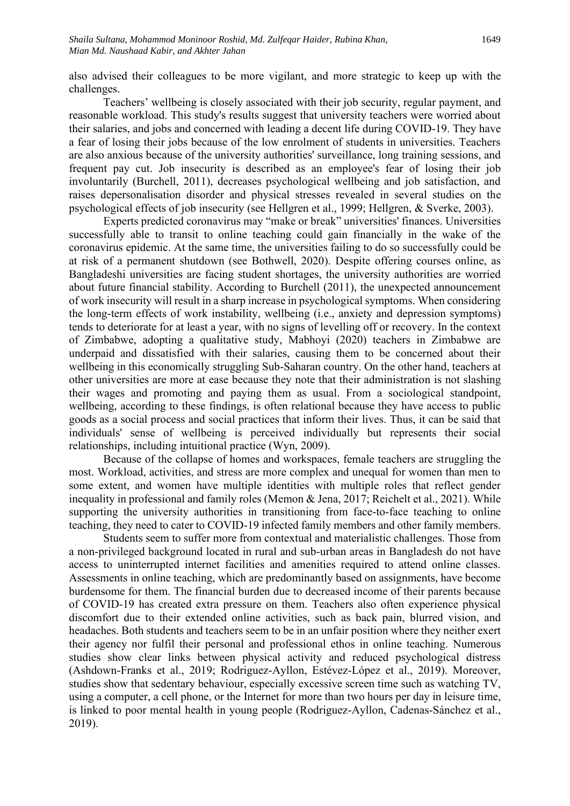also advised their colleagues to be more vigilant, and more strategic to keep up with the challenges.

Teachers' wellbeing is closely associated with their job security, regular payment, and reasonable workload. This study's results suggest that university teachers were worried about their salaries, and jobs and concerned with leading a decent life during COVID-19. They have a fear of losing their jobs because of the low enrolment of students in universities. Teachers are also anxious because of the university authorities' surveillance, long training sessions, and frequent pay cut. Job insecurity is described as an employee's fear of losing their job involuntarily (Burchell, 2011), decreases psychological wellbeing and job satisfaction, and raises depersonalisation disorder and physical stresses revealed in several studies on the psychological effects of job insecurity (see Hellgren et al., 1999; Hellgren, & Sverke, 2003).

Experts predicted coronavirus may "make or break" universities' finances. Universities successfully able to transit to online teaching could gain financially in the wake of the coronavirus epidemic. At the same time, the universities failing to do so successfully could be at risk of a permanent shutdown (see Bothwell, 2020). Despite offering courses online, as Bangladeshi universities are facing student shortages, the university authorities are worried about future financial stability. According to Burchell (2011), the unexpected announcement of work insecurity will result in a sharp increase in psychological symptoms. When considering the long-term effects of work instability, wellbeing (i.e., anxiety and depression symptoms) tends to deteriorate for at least a year, with no signs of levelling off or recovery. In the context of Zimbabwe, adopting a qualitative study, Mabhoyi (2020) teachers in Zimbabwe are underpaid and dissatisfied with their salaries, causing them to be concerned about their wellbeing in this economically struggling Sub-Saharan country. On the other hand, teachers at other universities are more at ease because they note that their administration is not slashing their wages and promoting and paying them as usual. From a sociological standpoint, wellbeing, according to these findings, is often relational because they have access to public goods as a social process and social practices that inform their lives. Thus, it can be said that individuals' sense of wellbeing is perceived individually but represents their social relationships, including intuitional practice (Wyn, 2009).

Because of the collapse of homes and workspaces, female teachers are struggling the most. Workload, activities, and stress are more complex and unequal for women than men to some extent, and women have multiple identities with multiple roles that reflect gender inequality in professional and family roles (Memon & Jena, 2017; Reichelt et al., 2021). While supporting the university authorities in transitioning from face-to-face teaching to online teaching, they need to cater to COVID-19 infected family members and other family members.

Students seem to suffer more from contextual and materialistic challenges. Those from a non-privileged background located in rural and sub-urban areas in Bangladesh do not have access to uninterrupted internet facilities and amenities required to attend online classes. Assessments in online teaching, which are predominantly based on assignments, have become burdensome for them. The financial burden due to decreased income of their parents because of COVID-19 has created extra pressure on them. Teachers also often experience physical discomfort due to their extended online activities, such as back pain, blurred vision, and headaches. Both students and teachers seem to be in an unfair position where they neither exert their agency nor fulfil their personal and professional ethos in online teaching. Numerous studies show clear links between physical activity and reduced psychological distress (Ashdown-Franks et al., 2019; Rodriguez-Ayllon, Estévez-López et al., 2019). Moreover, studies show that sedentary behaviour, especially excessive screen time such as watching TV, using a computer, a cell phone, or the Internet for more than two hours per day in leisure time, is linked to poor mental health in young people (Rodriguez-Ayllon, Cadenas-Sánchez et al., 2019).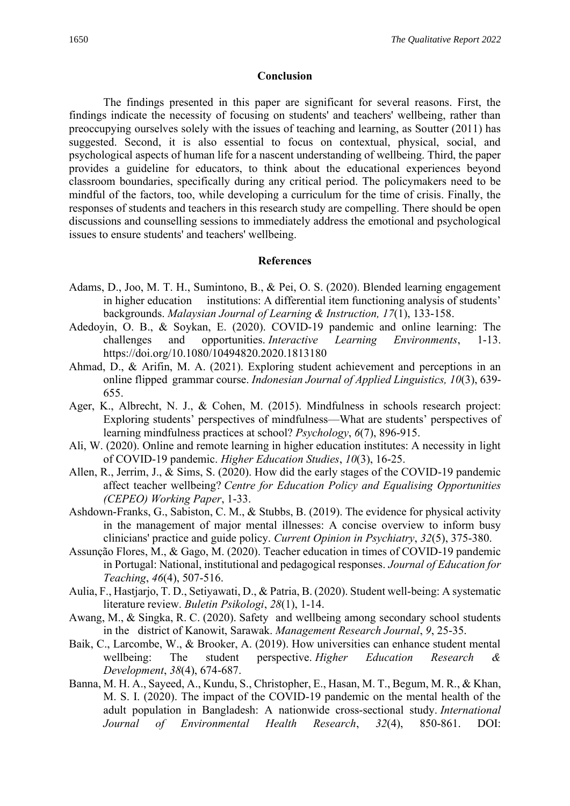#### **Conclusion**

The findings presented in this paper are significant for several reasons. First, the findings indicate the necessity of focusing on students' and teachers' wellbeing, rather than preoccupying ourselves solely with the issues of teaching and learning, as Soutter (2011) has suggested. Second, it is also essential to focus on contextual, physical, social, and psychological aspects of human life for a nascent understanding of wellbeing. Third, the paper provides a guideline for educators, to think about the educational experiences beyond classroom boundaries, specifically during any critical period. The policymakers need to be mindful of the factors, too, while developing a curriculum for the time of crisis. Finally, the responses of students and teachers in this research study are compelling. There should be open discussions and counselling sessions to immediately address the emotional and psychological issues to ensure students' and teachers' wellbeing.

#### **References**

- Adams, D., Joo, M. T. H., Sumintono, B., & Pei, O. S. (2020). Blended learning engagement in higher education institutions: A differential item functioning analysis of students' backgrounds. *Malaysian Journal of Learning & Instruction, 17*(1), 133-158.
- Adedoyin, O. B., & Soykan, E. (2020). COVID-19 pandemic and online learning: The challenges and opportunities. *Interactive Learning Environments*, 1-13. <https://doi.org/10.1080/10494820.2020.1813180>
- Ahmad, D., & Arifin, M. A. (2021). Exploring student achievement and perceptions in an online flipped grammar course. *Indonesian Journal of Applied Linguistics, 10*(3), 639- 655.
- Ager, K., Albrecht, N. J., & Cohen, M. (2015). Mindfulness in schools research project: Exploring students' perspectives of mindfulness—What are students' perspectives of learning mindfulness practices at school? *Psychology*, *6*(7), 896-915.
- Ali, W. (2020). Online and remote learning in higher education institutes: A necessity in light of COVID-19 pandemic. *Higher Education Studies*, *10*(3), 16-25.
- Allen, R., Jerrim, J., & Sims, S. (2020). How did the early stages of the COVID-19 pandemic affect teacher wellbeing? *Centre for Education Policy and Equalising Opportunities (CEPEO) Working Paper*, 1-33.
- Ashdown-Franks, G., Sabiston, C. M., & Stubbs, B. (2019). The evidence for physical activity in the management of major mental illnesses: A concise overview to inform busy clinicians' practice and guide policy. *Current Opinion in Psychiatry*, *32*(5), 375-380.
- Assunção Flores, M., & Gago, M. (2020). Teacher education in times of COVID-19 pandemic in Portugal: National, institutional and pedagogical responses. *Journal of Education for Teaching*, *46*(4), 507-516.
- Aulia, F., Hastjarjo, T. D., Setiyawati, D., & Patria, B. (2020). Student well-being: A systematic literature review. *Buletin Psikologi*, *28*(1), 1-14.
- Awang, M., & Singka, R. C. (2020). Safety and wellbeing among secondary school students in the district of Kanowit, Sarawak. *Management Research Journal*, *9*, 25-35.
- Baik, C., Larcombe, W., & Brooker, A. (2019). How universities can enhance student mental wellbeing: The student perspective. *Higher Education Research & Development*, *38*(4), 674-687.
- Banna, M. H. A., Sayeed, A., Kundu, S., Christopher, E., Hasan, M. T., Begum, M. R., & Khan, M. S. I. (2020). The impact of the COVID-19 pandemic on the mental health of the adult population in Bangladesh: A nationwide cross-sectional study. *International Journal of Environmental Health Research*, *32*(4), 850-861. DOI: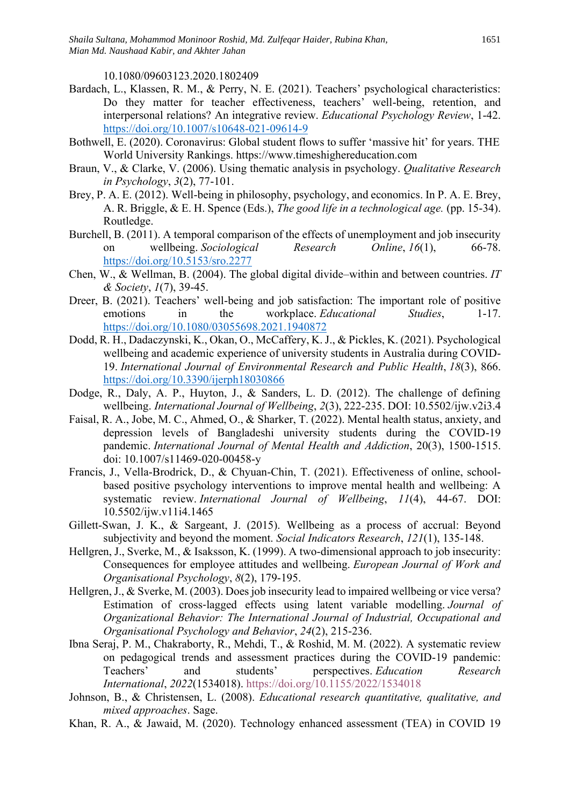10.1080/09603123.2020.1802409

- Bardach, L., Klassen, R. M., & Perry, N. E. (2021). Teachers' psychological characteristics: Do they matter for teacher effectiveness, teachers' well-being, retention, and interpersonal relations? An integrative review. *Educational Psychology Review*, 1-42. <https://doi.org/10.1007/s10648-021-09614-9>
- Bothwell, E. (2020). Coronavirus: Global student flows to suffer 'massive hit' for years. THE World University Rankings. https://www.timeshighereducation.com
- Braun, V., & Clarke, V. (2006). Using thematic analysis in psychology. *Qualitative Research in Psychology*, *3*(2), 77-101.
- Brey, P. A. E. (2012). Well-being in philosophy, psychology, and economics. In P. A. E. Brey, A. R. Briggle, & E. H. Spence (Eds.), *The good life in a technological age.* (pp. 15-34). Routledge.
- Burchell, B. (2011). A temporal comparison of the effects of unemployment and job insecurity on wellbeing. *Sociological Research Online*, *16*(1), 66-78. <https://doi.org/10.5153/sro.2277>
- Chen, W., & Wellman, B. (2004). The global digital divide–within and between countries. *IT & Society*, *1*(7), 39-45.
- Dreer, B. (2021). Teachers' well-being and job satisfaction: The important role of positive emotions in the workplace. *Educational Studies*, 1-17. <https://doi.org/10.1080/03055698.2021.1940872>
- Dodd, R. H., Dadaczynski, K., Okan, O., McCaffery, K. J., & Pickles, K. (2021). Psychological wellbeing and academic experience of university students in Australia during COVID-19. *International Journal of Environmental Research and Public Health*, *18*(3), 866. <https://doi.org/10.3390/ijerph18030866>
- Dodge, R., Daly, A. P., Huyton, J., & Sanders, L. D. (2012). The challenge of defining wellbeing. *International Journal of Wellbeing*, *2*(3), 222-235. DOI: 10.5502/ijw.v2i3.4
- Faisal, R. A., Jobe, M. C., Ahmed, O., & Sharker, T. (2022). Mental health status, anxiety, and depression levels of Bangladeshi university students during the COVID-19 pandemic. *International Journal of Mental Health and Addiction*, 20(3), 1500-1515. doi: 10.1007/s11469-020-00458-y
- Francis, J., Vella-Brodrick, D., & Chyuan-Chin, T. (2021). Effectiveness of online, schoolbased positive psychology interventions to improve mental health and wellbeing: A systematic review. *International Journal of Wellbeing*, *11*(4), 44-67. DOI: 10.5502/ijw.v11i4.1465
- Gillett-Swan, J. K., & Sargeant, J. (2015). Wellbeing as a process of accrual: Beyond subjectivity and beyond the moment. *Social Indicators Research*, *121*(1), 135-148.
- Hellgren, J., Sverke, M., & Isaksson, K. (1999). A two-dimensional approach to job insecurity: Consequences for employee attitudes and wellbeing. *European Journal of Work and Organisational Psychology*, *8*(2), 179-195.
- Hellgren, J., & Sverke, M. (2003). Does job insecurity lead to impaired wellbeing or vice versa? Estimation of cross‐lagged effects using latent variable modelling. *Journal of Organizational Behavior: The International Journal of Industrial, Occupational and Organisational Psychology and Behavior*, *24*(2), 215-236.
- Ibna Seraj, P. M., Chakraborty, R., Mehdi, T., & Roshid, M. M. (2022). A systematic review on pedagogical trends and assessment practices during the COVID-19 pandemic: Teachers' and students' perspectives. *Education Research International*, *2022*(1534018).<https://doi.org/10.1155/2022/1534018>
- Johnson, B., & Christensen, L. (2008). *Educational research quantitative, qualitative, and mixed approaches*. Sage.
- Khan, R. A., & Jawaid, M. (2020). Technology enhanced assessment (TEA) in COVID 19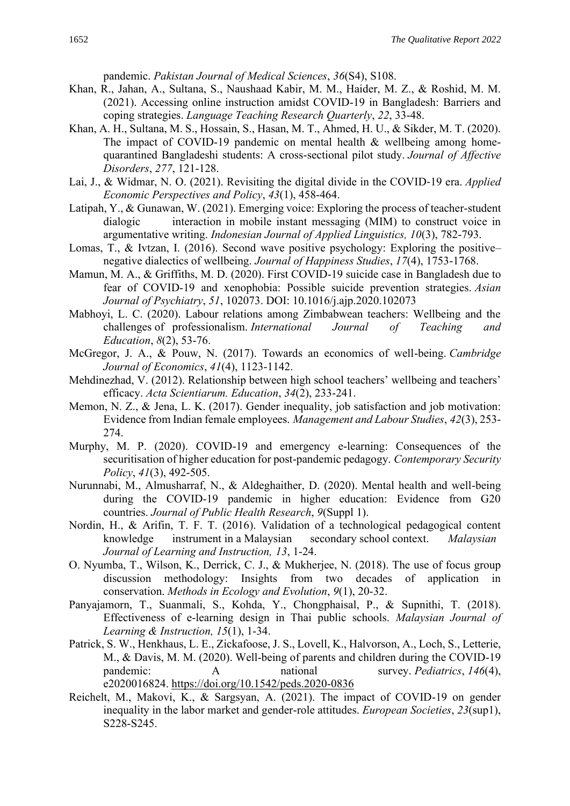pandemic. *Pakistan Journal of Medical Sciences*, *36*(S4), S108.

- Khan, R., Jahan, A., Sultana, S., Naushaad Kabir, M. M., Haider, M. Z., & Roshid, M. M. (2021). Accessing online instruction amidst COVID-19 in Bangladesh: Barriers and coping strategies. *Language Teaching Research Quarterly*, *22*, 33-48.
- Khan, A. H., Sultana, M. S., Hossain, S., Hasan, M. T., Ahmed, H. U., & Sikder, M. T. (2020). The impact of COVID-19 pandemic on mental health & wellbeing among homequarantined Bangladeshi students: A cross-sectional pilot study. *Journal of Affective Disorders*, *277*, 121-128.
- Lai, J., & Widmar, N. O. (2021). Revisiting the digital divide in the COVID‐19 era. *Applied Economic Perspectives and Policy*, *43*(1), 458-464.
- Latipah, Y., & Gunawan, W. (2021). Emerging voice: Exploring the process of teacher-student dialogic interaction in mobile instant messaging (MIM) to construct voice in argumentative writing. *Indonesian Journal of Applied Linguistics, 10*(3), 782-793.
- Lomas, T., & Ivtzan, I. (2016). Second wave positive psychology: Exploring the positive– negative dialectics of wellbeing. *Journal of Happiness Studies*, *17*(4), 1753-1768.
- Mamun, M. A., & Griffiths, M. D. (2020). First COVID-19 suicide case in Bangladesh due to fear of COVID-19 and xenophobia: Possible suicide prevention strategies. *Asian Journal of Psychiatry*, *51*, 102073. DOI: 10.1016/j.ajp.2020.102073
- Mabhoyi, L. C. (2020). Labour relations among Zimbabwean teachers: Wellbeing and the challenges of professionalism. *International Journal of Teaching and Education*, *8*(2), 53-76.
- McGregor, J. A., & Pouw, N. (2017). Towards an economics of well-being. *Cambridge Journal of Economics*, *41*(4), 1123-1142.
- Mehdinezhad, V. (2012). Relationship between high school teachers' wellbeing and teachers' efficacy. *Acta Scientiarum. Education*, *34*(2), 233-241.
- Memon, N. Z., & Jena, L. K. (2017). Gender inequality, job satisfaction and job motivation: Evidence from Indian female employees. *Management and Labour Studies*, *42*(3), 253- 274.
- Murphy, M. P. (2020). COVID-19 and emergency e-learning: Consequences of the securitisation of higher education for post-pandemic pedagogy. *Contemporary Security Policy*, *41*(3), 492-505.
- Nurunnabi, M., Almusharraf, N., & Aldeghaither, D. (2020). Mental health and well-being during the COVID-19 pandemic in higher education: Evidence from G20 countries. *Journal of Public Health Research*, *9*(Suppl 1).
- Nordin, H., & Arifin, T. F. T. (2016). Validation of a technological pedagogical content knowledge instrument in a Malaysian secondary school context. *Malaysian Journal of Learning and Instruction, 13*, 1-24.
- O. Nyumba, T., Wilson, K., Derrick, C. J., & Mukherjee, N. (2018). The use of focus group discussion methodology: Insights from two decades of application in conservation. *Methods in Ecology and Evolution*, *9*(1), 20-32.
- Panyajamorn, T., Suanmali, S., Kohda, Y., Chongphaisal, P., & Supnithi, T. (2018). Effectiveness of e-learning design in Thai public schools. *Malaysian Journal of Learning & Instruction, 15*(1), 1-34.
- Patrick, S. W., Henkhaus, L. E., Zickafoose, J. S., Lovell, K., Halvorson, A., Loch, S., Letterie, M., & Davis, M. M. (2020). Well-being of parents and children during the COVID-19 pandemic: A national survey. *Pediatrics*, 146(4), e2020016824. <https://doi.org/10.1542/peds.2020-0836>
- Reichelt, M., Makovi, K., & Sargsyan, A. (2021). The impact of COVID-19 on gender inequality in the labor market and gender-role attitudes. *European Societies*, *23*(sup1), S228-S245.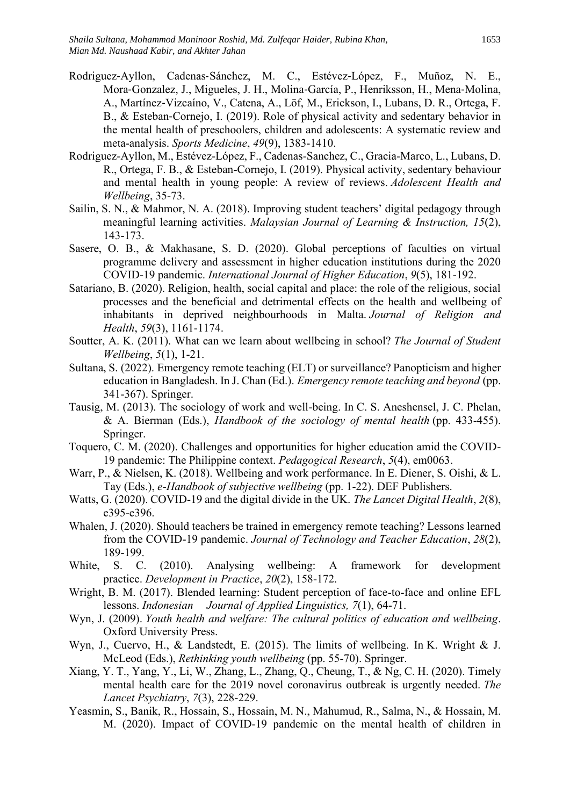- Rodriguez‐Ayllon, Cadenas‐Sánchez, M. C., Estévez‐López, F., Muñoz, N. E., Mora‐Gonzalez, J., Migueles, J. H., Molina‐García, P., Henriksson, H., Mena‐Molina, A., Martínez‐Vizcaíno, V., Catena, A., Löf, M., Erickson, I., Lubans, D. R., Ortega, F. B., & Esteban-Cornejo, I. (2019). Role of physical activity and sedentary behavior in the mental health of preschoolers, children and adolescents: A systematic review and meta-analysis. *Sports Medicine*, *49*(9), 1383-1410.
- Rodriguez-Ayllon, M., Estévez-López, F., Cadenas-Sanchez, C., Gracia-Marco, L., Lubans, D. R., Ortega, F. B., & Esteban-Cornejo, I. (2019). Physical activity, sedentary behaviour and mental health in young people: A review of reviews. *Adolescent Health and Wellbeing*, 35-73.
- Sailin, S. N., & Mahmor, N. A. (2018). Improving student teachers' digital pedagogy through meaningful learning activities. *Malaysian Journal of Learning & Instruction, 15*(2), 143-173.
- Sasere, O. B., & Makhasane, S. D. (2020). Global perceptions of faculties on virtual programme delivery and assessment in higher education institutions during the 2020 COVID-19 pandemic. *International Journal of Higher Education*, *9*(5), 181-192.
- Satariano, B. (2020). Religion, health, social capital and place: the role of the religious, social processes and the beneficial and detrimental effects on the health and wellbeing of inhabitants in deprived neighbourhoods in Malta. *Journal of Religion and Health*, *59*(3), 1161-1174.
- Soutter, A. K. (2011). What can we learn about wellbeing in school? *The Journal of Student Wellbeing*, *5*(1), 1-21.
- Sultana, S. (2022). Emergency remote teaching (ELT) or surveillance? Panopticism and higher education in Bangladesh. In J. Chan (Ed.). *Emergency remote teaching and beyond* (pp. 341-367). Springer.
- Tausig, M. (2013). The sociology of work and well-being. In C. S. Aneshensel, J. C. Phelan, & A. Bierman (Eds.), *Handbook of the sociology of mental health* (pp. 433-455). Springer.
- Toquero, C. M. (2020). Challenges and opportunities for higher education amid the COVID-19 pandemic: The Philippine context. *Pedagogical Research*, *5*(4), em0063.
- Warr, P., & Nielsen, K. (2018). Wellbeing and work performance. In E. Diener, S. Oishi, & L. Tay (Eds.), *e-Handbook of subjective wellbeing* (pp. 1-22). DEF Publishers.
- Watts, G. (2020). COVID-19 and the digital divide in the UK. *The Lancet Digital Health*, *2*(8), e395-e396.
- Whalen, J. (2020). Should teachers be trained in emergency remote teaching? Lessons learned from the COVID-19 pandemic. *Journal of Technology and Teacher Education*, *28*(2), 189-199.
- White, S. C. (2010). Analysing wellbeing: A framework for development practice. *Development in Practice*, *20*(2), 158-172.
- Wright, B. M. (2017). Blended learning: Student perception of face-to-face and online EFL lessons. *Indonesian Journal of Applied Linguistics, 7*(1), 64-71.
- Wyn, J. (2009). *Youth health and welfare: The cultural politics of education and wellbeing*. Oxford University Press.
- Wyn, J., Cuervo, H., & Landstedt, E. (2015). The limits of wellbeing. In K. Wright & J. McLeod (Eds.), *Rethinking youth wellbeing* (pp. 55-70). Springer.
- Xiang, Y. T., Yang, Y., Li, W., Zhang, L., Zhang, Q., Cheung, T., & Ng, C. H. (2020). Timely mental health care for the 2019 novel coronavirus outbreak is urgently needed. *The Lancet Psychiatry*, *7*(3), 228-229.
- Yeasmin, S., Banik, R., Hossain, S., Hossain, M. N., Mahumud, R., Salma, N., & Hossain, M. M. (2020). Impact of COVID-19 pandemic on the mental health of children in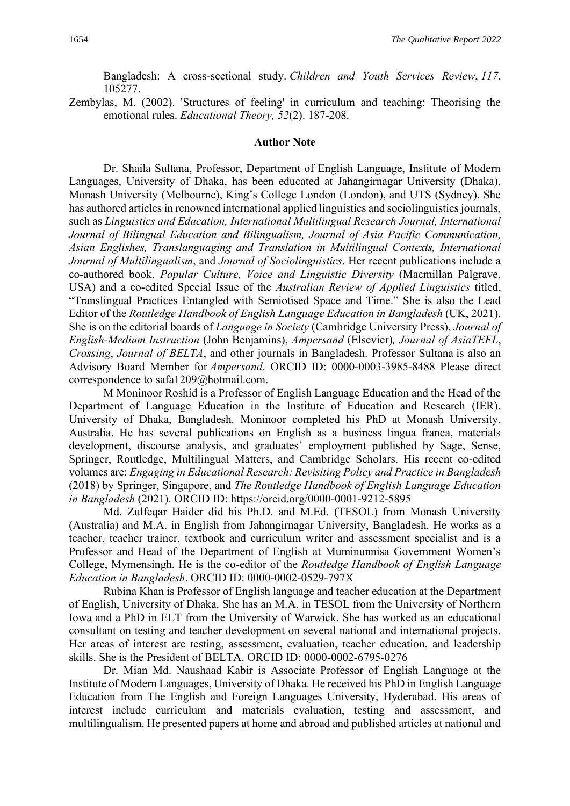Bangladesh: A cross-sectional study. *Children and Youth Services Review*, *117*, 105277.

Zembylas, M. (2002). 'Structures of feeling' in curriculum and teaching: Theorising the emotional rules. *Educational Theory, 52*(2). 187-208.

#### **Author Note**

Dr. Shaila Sultana, Professor, Department of English Language, Institute of Modern Languages, University of Dhaka, has been educated at Jahangirnagar University (Dhaka), Monash University (Melbourne), King's College London (London), and UTS (Sydney). She has authored articles in renowned international applied linguistics and sociolinguistics journals, such as *Linguistics and Education, International Multilingual Research Journal, International Journal of Bilingual Education and Bilingualism, Journal of Asia Pacific Communication, Asian Englishes, Translanguaging and Translation in Multilingual Contexts, International Journal of Multilingualism*, and *Journal of Sociolinguistics*. Her recent publications include a co-authored book, *Popular Culture, Voice and Linguistic Diversity* (Macmillan Palgrave, USA) and a co-edited Special Issue of the *Australian Review of Applied Linguistics* titled, "Translingual Practices Entangled with Semiotised Space and Time." She is also the Lead Editor of the *Routledge Handbook of English Language Education in Bangladesh* (UK, 2021). She is on the editorial boards of *Language in Society* (Cambridge University Press), *Journal of English-Medium Instruction* (John Benjamins), *Ampersand* (Elsevier)*, Journal of AsiaTEFL*, *Crossing*, *Journal of BELTA*, and other journals in Bangladesh. Professor Sultana is also an Advisory Board Member for *Ampersand*. ORCID ID: 0000-0003-3985-8488 Please direct correspondence to [safa1209@hotmail.com.](mailto:safa1209@hotmail.com)

M Moninoor Roshid is a Professor of English Language Education and the Head of the Department of Language Education in the Institute of Education and Research (IER), University of Dhaka, Bangladesh. Moninoor completed his PhD at Monash University, Australia. He has several publications on English as a business lingua franca, materials development, discourse analysis, and graduates' employment published by Sage, Sense, Springer, Routledge, Multilingual Matters, and Cambridge Scholars. His recent co-edited volumes are: *Engaging in Educational Research: Revisiting Policy and Practice in Bangladesh* (2018) by Springer, Singapore, and *The Routledge Handbook of English Language Education in Bangladesh* (2021). ORCID ID: https://orcid.org/0000-0001-9212-5895

Md. Zulfeqar Haider did his Ph.D. and M.Ed. (TESOL) from Monash University (Australia) and M.A. in English from Jahangirnagar University, Bangladesh. He works as a teacher, teacher trainer, textbook and curriculum writer and assessment specialist and is a Professor and Head of the Department of English at Muminunnisa Government Women's College, Mymensingh. He is the co-editor of the *Routledge Handbook of English Language Education in Bangladesh*. ORCID ID: 0000-0002-0529-797X

Rubina Khan is Professor of English language and teacher education at the Department of English, University of Dhaka. She has an M.A. in TESOL from the University of Northern Iowa and a PhD in ELT from the University of Warwick. She has worked as an educational consultant on testing and teacher development on several national and international projects. Her areas of interest are testing, assessment, evaluation, teacher education, and leadership skills. She is the President of BELTA. ORCID ID: 0000-0002-6795-0276

Dr. Mian Md. Naushaad Kabir is Associate Professor of English Language at the Institute of Modern Languages, University of Dhaka. He received his PhD in English Language Education from The English and Foreign Languages University, Hyderabad. His areas of interest include curriculum and materials evaluation, testing and assessment, and multilingualism. He presented papers at home and abroad and published articles at national and